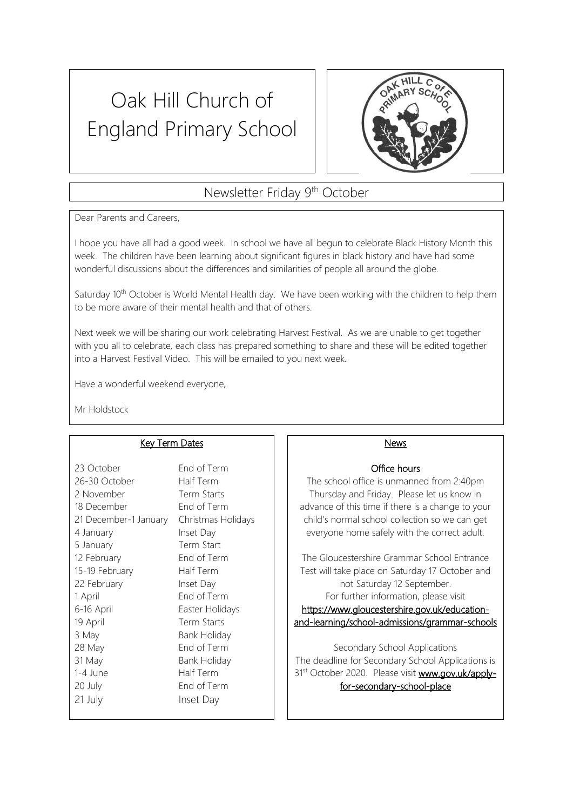# Oak Hill Church of England Primary School



# Newsletter Friday 9th October

Dear Parents and Careers,

I hope you have all had a good week. In school we have all begun to celebrate Black History Month this week. The children have been learning about significant figures in black history and have had some wonderful discussions about the differences and similarities of people all around the globe.

Saturday 10<sup>th</sup> October is World Mental Health day. We have been working with the children to help them to be more aware of their mental health and that of others.

Next week we will be sharing our work celebrating Harvest Festival. As we are unable to get together with you all to celebrate, each class has prepared something to share and these will be edited together into a Harvest Festival Video. This will be emailed to you next week.

Have a wonderful weekend everyone,

Mr Holdstock

### Key Term Dates

| 23 October            | End of Term         |
|-----------------------|---------------------|
| 26-30 October         | Half Term           |
| 2 November            | Term Starts         |
| 18 December           | End of Term         |
| 21 December-1 January | Christmas Holidays  |
| 4 January             | Inset Day           |
| 5 January             | Term Start          |
| 12 February           | End of Term         |
| 15-19 February        | Half Term           |
| 22 February           | Inset Day           |
| 1 April               | End of Term         |
| 6-16 April            | Easter Holidays     |
| 19 April              | Term Starts         |
| 3 May                 | <b>Bank Holiday</b> |
| 28 May                | End of Term         |
| 31 May                | <b>Bank Holiday</b> |
| 1-4 June              | Half Term           |
| 20 July               | End of Term         |
| 21 July               | Inset Day           |
|                       |                     |

#### News

### Office hours

The school office is unmanned from 2:40pm Thursday and Friday. Please let us know in advance of this time if there is a change to your child's normal school collection so we can get everyone home safely with the correct adult.

The Gloucestershire Grammar School Entrance Test will take place on Saturday 17 October and not Saturday 12 September. For further information, please visit [https://www.gloucestershire.gov.uk/education](https://www.gloucestershire.gov.uk/education-and-learning/school-admissions/grammar-schools)[and-learning/school-admissions/grammar-schools](https://www.gloucestershire.gov.uk/education-and-learning/school-admissions/grammar-schools) 

Secondary School Applications The deadline for Secondary School Applications is 31st October 2020. Please visit www.gov.uk/applyfor-secondary-school-place